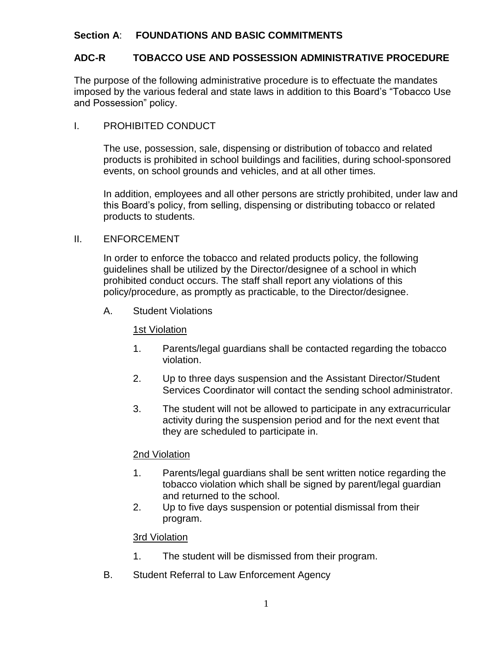# **Section A**: **FOUNDATIONS AND BASIC COMMITMENTS**

# **ADC-R TOBACCO USE AND POSSESSION ADMINISTRATIVE PROCEDURE**

The purpose of the following administrative procedure is to effectuate the mandates imposed by the various federal and state laws in addition to this Board's "Tobacco Use and Possession" policy.

# I. PROHIBITED CONDUCT

The use, possession, sale, dispensing or distribution of tobacco and related products is prohibited in school buildings and facilities, during school-sponsored events, on school grounds and vehicles, and at all other times.

In addition, employees and all other persons are strictly prohibited, under law and this Board's policy, from selling, dispensing or distributing tobacco or related products to students.

## II. ENFORCEMENT

In order to enforce the tobacco and related products policy, the following guidelines shall be utilized by the Director/designee of a school in which prohibited conduct occurs. The staff shall report any violations of this policy/procedure, as promptly as practicable, to the Director/designee.

A. Student Violations

#### 1st Violation

- 1. Parents/legal guardians shall be contacted regarding the tobacco violation.
- 2. Up to three days suspension and the Assistant Director/Student Services Coordinator will contact the sending school administrator.
- 3. The student will not be allowed to participate in any extracurricular activity during the suspension period and for the next event that they are scheduled to participate in.

## 2nd Violation

- 1. Parents/legal guardians shall be sent written notice regarding the tobacco violation which shall be signed by parent/legal guardian and returned to the school.
- 2. Up to five days suspension or potential dismissal from their program.

## 3rd Violation

- 1. The student will be dismissed from their program.
- B. Student Referral to Law Enforcement Agency